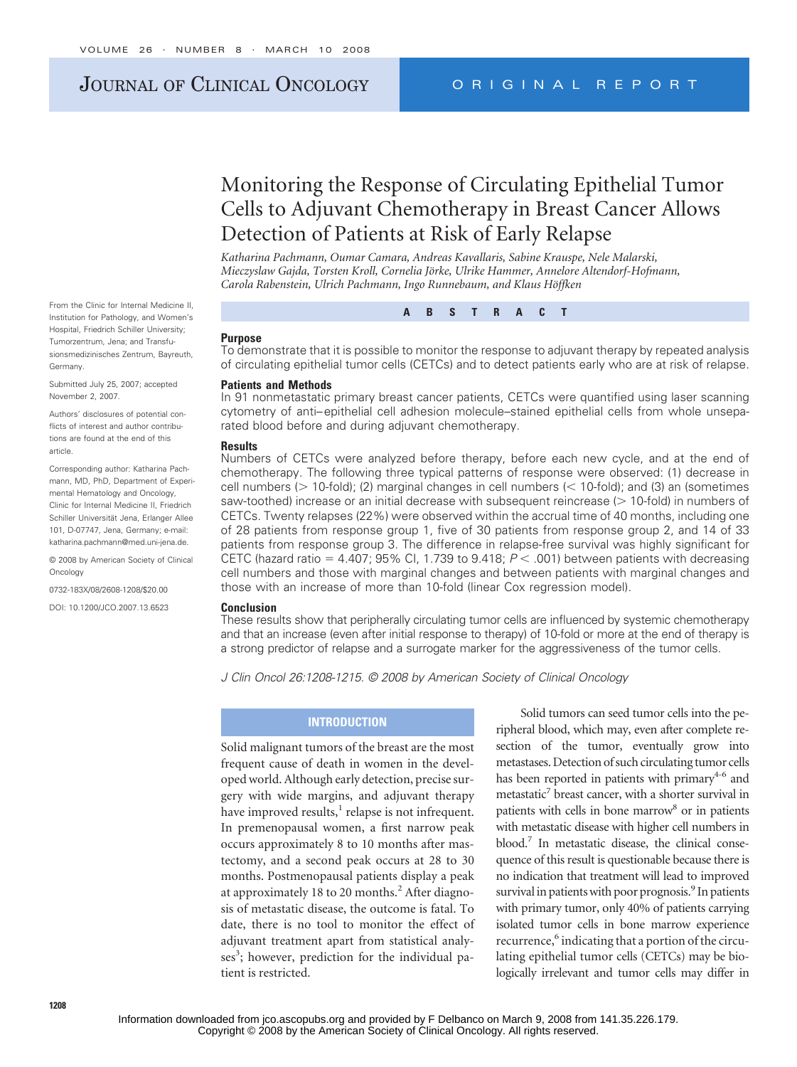# JOURNAL OF CLINICAL ONCOLOGY ORIGINAL REPORT

# Monitoring the Response of Circulating Epithelial Tumor Cells to Adjuvant Chemotherapy in Breast Cancer Allows Detection of Patients at Risk of Early Relapse

*Katharina Pachmann, Oumar Camara, Andreas Kavallaris, Sabine Krauspe, Nele Malarski,* Mieczyslaw Gaida, Torsten Kroll, Cornelia Jörke, Ulrike Hammer, Annelore Altendorf-Hofmann, *Carola Rabenstein, Ulrich Pachmann, Ingo Runnebaum, and Klaus Ho¨ffken*

From the Clinic for Internal Medicine II, Institution for Pathology, and Women's Hospital, Friedrich Schiller University; Tumorzentrum, Jena; and Transfusionsmedizinisches Zentrum, Bayreuth, Germany.

Submitted July 25, 2007; accepted November 2, 2007.

Authors' disclosures of potential conflicts of interest and author contributions are found at the end of this article.

Corresponding author: Katharina Pachmann, MD, PhD, Department of Experimental Hematology and Oncology, Clinic for Internal Medicine II, Friedrich Schiller Universität, Jena, Erlanger Allee 101, D-07747, Jena, Germany; e-mail: katharina.pachmann@med.uni-jena.de.

© 2008 by American Society of Clinical **Oncology** 

0732-183X/08/2608-1208/\$20.00

DOI: 10.1200/JCO.2007.13.6523

**ABSTRACT**

#### **Purpose**

To demonstrate that it is possible to monitor the response to adjuvant therapy by repeated analysis of circulating epithelial tumor cells (CETCs) and to detect patients early who are at risk of relapse.

## **Patients and Methods**

In 91 nonmetastatic primary breast cancer patients, CETCs were quantified using laser scanning cytometry of anti–epithelial cell adhesion molecule–stained epithelial cells from whole unseparated blood before and during adjuvant chemotherapy.

### **Results**

Numbers of CETCs were analyzed before therapy, before each new cycle, and at the end of chemotherapy. The following three typical patterns of response were observed: (1) decrease in cell numbers ( $> 10$ -fold); (2) marginal changes in cell numbers ( $< 10$ -fold); and (3) an (sometimes saw-toothed) increase or an initial decrease with subsequent reincrease ( $> 10$ -fold) in numbers of CETCs. Twenty relapses (22%) were observed within the accrual time of 40 months, including one of 28 patients from response group 1, five of 30 patients from response group 2, and 14 of 33 patients from response group 3. The difference in relapse-free survival was highly significant for CETC (hazard ratio =  $4.407$ ; 95% Cl, 1.739 to 9.418;  $P < .001$ ) between patients with decreasing cell numbers and those with marginal changes and between patients with marginal changes and those with an increase of more than 10-fold (linear Cox regression model).

## **Conclusion**

These results show that peripherally circulating tumor cells are influenced by systemic chemotherapy and that an increase (even after initial response to therapy) of 10-fold or more at the end of therapy is a strong predictor of relapse and a surrogate marker for the aggressiveness of the tumor cells.

*J Clin Oncol 26:1208-1215. © 2008 by American Society of Clinical Oncology*

## **INTRODUCTION**

Solid malignant tumors of the breast are the most frequent cause of death in women in the developed world. Although early detection, precise surgery with wide margins, and adjuvant therapy have improved results, $<sup>1</sup>$  relapse is not infrequent.</sup> In premenopausal women, a first narrow peak occurs approximately 8 to 10 months after mastectomy, and a second peak occurs at 28 to 30 months. Postmenopausal patients display a peak at approximately 18 to 20 months. $<sup>2</sup>$  After diagno-</sup> sis of metastatic disease, the outcome is fatal. To date, there is no tool to monitor the effect of adjuvant treatment apart from statistical analyses<sup>3</sup>; however, prediction for the individual patient is restricted.

Solid tumors can seed tumor cells into the peripheral blood, which may, even after complete resection of the tumor, eventually grow into metastases. Detection of such circulating tumor cells has been reported in patients with primary $4-6$  and  $metastatic<sup>7</sup>$  breast cancer, with a shorter survival in patients with cells in bone marrow<sup>8</sup> or in patients with metastatic disease with higher cell numbers in blood.7 In metastatic disease, the clinical consequence of this result is questionable because there is no indication that treatment will lead to improved survival in patients with poor prognosis.<sup>9</sup> In patients with primary tumor, only 40% of patients carrying isolated tumor cells in bone marrow experience recurrence,<sup>6</sup> indicating that a portion of the circulating epithelial tumor cells (CETCs) may be biologically irrelevant and tumor cells may differ in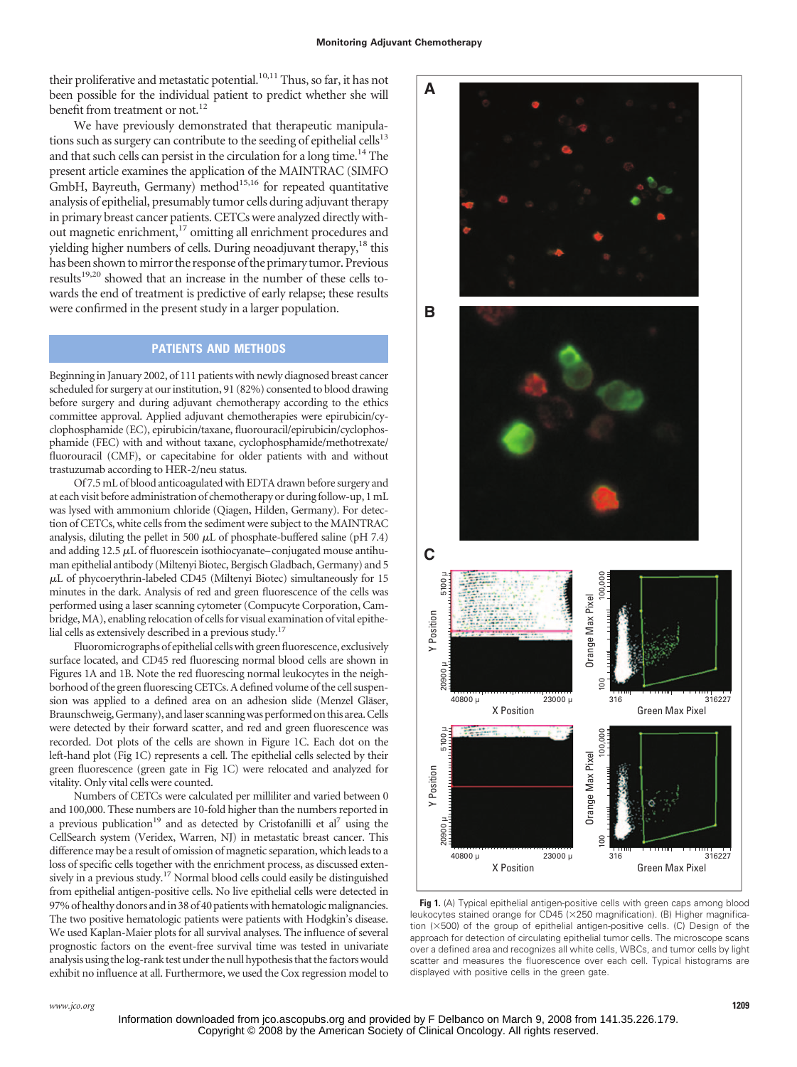their proliferative and metastatic potential.<sup>10,11</sup> Thus, so far, it has not been possible for the individual patient to predict whether she will benefit from treatment or not.<sup>12</sup>

We have previously demonstrated that therapeutic manipulations such as surgery can contribute to the seeding of epithelial cells $13$ and that such cells can persist in the circulation for a long time.<sup>14</sup> The present article examines the application of the MAINTRAC (SIMFO  $GmbH$ , Bayreuth, Germany) method<sup>15,16</sup> for repeated quantitative analysis of epithelial, presumably tumor cells during adjuvant therapy in primary breast cancer patients. CETCs were analyzed directly without magnetic enrichment,<sup>17</sup> omitting all enrichment procedures and yielding higher numbers of cells. During neoadjuvant therapy, $^{18}$  this has been shown to mirror the response of the primary tumor. Previous results<sup>19,20</sup> showed that an increase in the number of these cells towards the end of treatment is predictive of early relapse; these results were confirmed in the present study in a larger population.

## **PATIENTS AND METHODS**

Beginning in January 2002, of 111 patients with newly diagnosed breast cancer scheduled for surgery at our institution, 91 (82%) consented to blood drawing before surgery and during adjuvant chemotherapy according to the ethics committee approval. Applied adjuvant chemotherapies were epirubicin/cyclophosphamide (EC), epirubicin/taxane, fluorouracil/epirubicin/cyclophosphamide (FEC) with and without taxane, cyclophosphamide/methotrexate/ fluorouracil (CMF), or capecitabine for older patients with and without trastuzumab according to HER-2/neu status.

Of 7.5 mL of blood anticoagulated with EDTA drawn before surgery and at each visit before administration of chemotherapy or duringfollow-up, 1mL was lysed with ammonium chloride (Qiagen, Hilden, Germany). For detection of CETCs, white cells from the sediment were subject to the MAINTRAC analysis, diluting the pellet in 500  $\mu$ L of phosphate-buffered saline (pH 7.4) and adding  $12.5 \mu L$  of fluorescein isothiocyanate–conjugated mouse antihuman epithelial antibody (Miltenyi Biotec, Bergisch Gladbach, Germany) and 5  $\mu$ L of phycoerythrin-labeled CD45 (Miltenyi Biotec) simultaneously for 15 minutes in the dark. Analysis of red and green fluorescence of the cells was performed using a laser scanning cytometer (Compucyte Corporation, Cambridge, MA), enabling relocation of cells for visual examination of vital epithelial cells as extensively described in a previous study.17

Fluoromicrographs of epithelial cellswith green fluorescence, exclusively surface located, and CD45 red fluorescing normal blood cells are shown in Figures 1A and 1B. Note the red fluorescing normal leukocytes in the neighborhood of the green fluorescing CETCs. A defined volume of the cell suspension was applied to a defined area on an adhesion slide (Menzel Gläser, Braunschweig, Germany), andlaser scanningwas performed on this area.Cells were detected by their forward scatter, and red and green fluorescence was recorded. Dot plots of the cells are shown in Figure 1C. Each dot on the left-hand plot (Fig 1C) represents a cell. The epithelial cells selected by their green fluorescence (green gate in Fig 1C) were relocated and analyzed for vitality. Only vital cells were counted.

Numbers of CETCs were calculated per milliliter and varied between 0 and 100,000. These numbers are 10-fold higher than the numbers reported in a previous publication<sup>19</sup> and as detected by Cristofanilli et al<sup>7</sup> using the CellSearch system (Veridex, Warren, NJ) in metastatic breast cancer. This difference may be a result of omission of magnetic separation, which leads to a loss of specific cells together with the enrichment process, as discussed extensively in a previous study.<sup>17</sup> Normal blood cells could easily be distinguished from epithelial antigen-positive cells. No live epithelial cells were detected in 97% of healthy donors and in 38 of 40 patients with hematologic malignancies. The two positive hematologic patients were patients with Hodgkin's disease. We used Kaplan-Maier plots for all survival analyses. The influence of several prognostic factors on the event-free survival time was tested in univariate analysis using thelog-rank test under the null hypothesis that thefactorswould exhibit no influence at all. Furthermore, we used the Cox regression model to **A BC** 20900 µ 5100 µ 100 100,000 5100 Orange Max Pixel Orange Max Pixel Y Position 20900 8 316 316 316 40800 µ 23000 µ X Position Green Max Pixel 20900 µ 5100 µ 5100<sub>L</sub> 00,000 100 100,000 **Drange Max Pixel** Orange Max Pixel Y Position 20900 316 316227

**Fig 1.** (A) Typical epithelial antigen-positive cells with green caps among blood leukocytes stained orange for CD45 (×250 magnification). (B) Higher magnification  $(\times 500)$  of the group of epithelial antigen-positive cells. (C) Design of the approach for detection of circulating epithelial tumor cells. The microscope scans over a defined area and recognizes all white cells, WBCs, and tumor cells by light scatter and measures the fluorescence over each cell. Typical histograms are displayed with positive cells in the green gate.

X Position 40800 µ 23000 µ

Green Max Pixel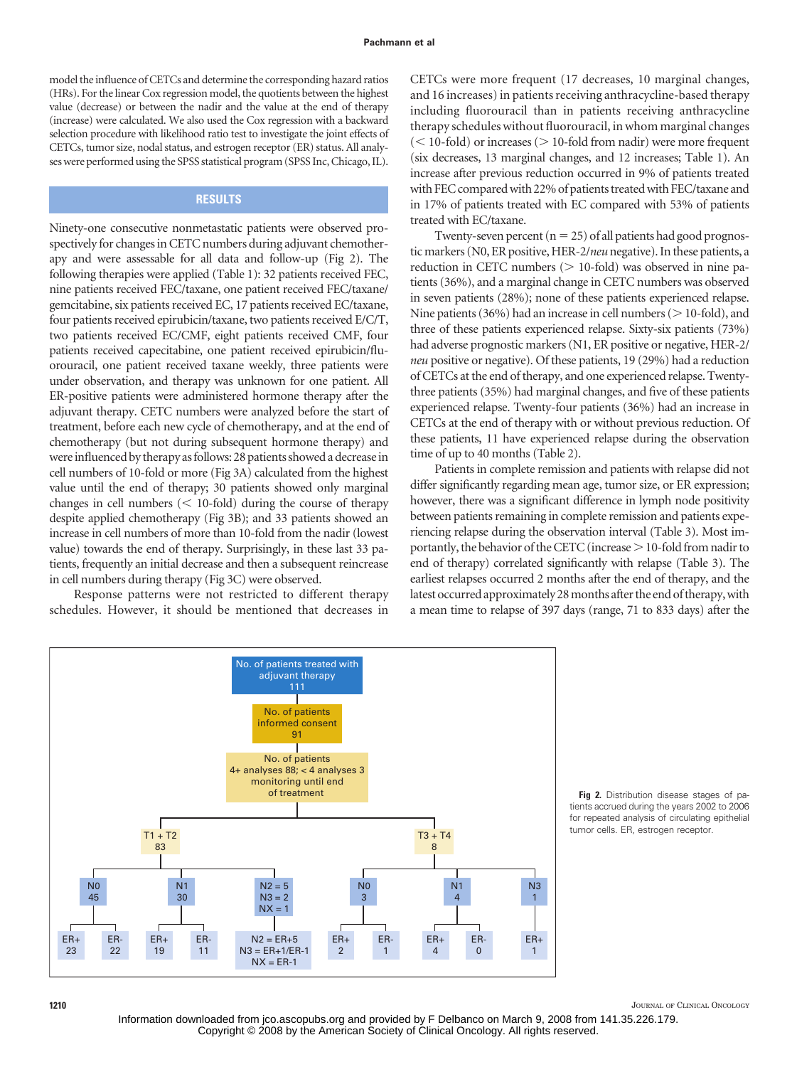model the influence of CETCs and determine the corresponding hazard ratios (HRs). For the linear Cox regression model, the quotients between the highest value (decrease) or between the nadir and the value at the end of therapy (increase) were calculated. We also used the Cox regression with a backward selection procedure with likelihood ratio test to investigate the joint effects of CETCs, tumor size, nodal status, and estrogen receptor (ER) status. All analyses were performed using the SPSS statistical program (SPSS Inc, Chicago, IL).

## **RESULTS**

Ninety-one consecutive nonmetastatic patients were observed prospectively for changes in CETC numbers during adjuvant chemotherapy and were assessable for all data and follow-up (Fig 2). The following therapies were applied (Table 1): 32 patients received FEC, nine patients received FEC/taxane, one patient received FEC/taxane/ gemcitabine, six patients received EC, 17 patients received EC/taxane, four patients received epirubicin/taxane, two patients received E/C/T, two patients received EC/CMF, eight patients received CMF, four patients received capecitabine, one patient received epirubicin/fluorouracil, one patient received taxane weekly, three patients were under observation, and therapy was unknown for one patient. All ER-positive patients were administered hormone therapy after the adjuvant therapy. CETC numbers were analyzed before the start of treatment, before each new cycle of chemotherapy, and at the end of chemotherapy (but not during subsequent hormone therapy) and were influenced by therapy as follows: 28 patients showed a decrease in cell numbers of 10-fold or more (Fig 3A) calculated from the highest value until the end of therapy; 30 patients showed only marginal changes in cell numbers  $(< 10$ -fold) during the course of therapy despite applied chemotherapy (Fig 3B); and 33 patients showed an increase in cell numbers of more than 10-fold from the nadir (lowest value) towards the end of therapy. Surprisingly, in these last 33 patients, frequently an initial decrease and then a subsequent reincrease in cell numbers during therapy (Fig 3C) were observed.

Response patterns were not restricted to different therapy schedules. However, it should be mentioned that decreases in CETCs were more frequent (17 decreases, 10 marginal changes, and 16 increases) in patients receiving anthracycline-based therapy including fluorouracil than in patients receiving anthracycline therapy schedules without fluorouracil, in whom marginal changes  $(< 10$ -fold) or increases  $(> 10$ -fold from nadir) were more frequent (six decreases, 13 marginal changes, and 12 increases; Table 1). An increase after previous reduction occurred in 9% of patients treated with FEC compared with 22% of patients treated with FEC/taxane and in 17% of patients treated with EC compared with 53% of patients treated with EC/taxane.

Twenty-seven percent  $(n = 25)$  of all patients had good prognostic markers (N0, ER positive, HER-2/neu negative). In these patients, a reduction in CETC numbers  $($   $>$  10-fold) was observed in nine patients (36%), and a marginal change in CETC numbers was observed in seven patients (28%); none of these patients experienced relapse. Nine patients (36%) had an increase in cell numbers ( $>$  10-fold), and three of these patients experienced relapse. Sixty-six patients (73%) had adverse prognostic markers (N1, ER positive or negative, HER-2/ *neu* positive or negative). Of these patients, 19 (29%) had a reduction of CETCs at the end of therapy, and one experienced relapse. Twentythree patients (35%) had marginal changes, and five of these patients experienced relapse. Twenty-four patients (36%) had an increase in CETCs at the end of therapy with or without previous reduction. Of these patients, 11 have experienced relapse during the observation time of up to 40 months (Table 2).

Patients in complete remission and patients with relapse did not differ significantly regarding mean age, tumor size, or ER expression; however, there was a significant difference in lymph node positivity between patients remaining in complete remission and patients experiencing relapse during the observation interval (Table 3). Most importantly, the behavior of the CETC (increase  $> 10$ -fold from nadir to end of therapy) correlated significantly with relapse (Table 3). The earliest relapses occurred 2 months after the end of therapy, and the latest occurred approximately 28 months after the end of therapy, with a mean time to relapse of 397 days (range, 71 to 833 days) after the



**Fig 2.** Distribution disease stages of patients accrued during the years 2002 to 2006 for repeated analysis of circulating epithelial tumor cells. ER, estrogen receptor.

**1210** JOURNAL OF CLINICAL ONCOLOGY

Copyright © 2008 by the American Society of Clinical Oncology. All rights reserved. Information downloaded from jco.ascopubs.org and provided by F Delbanco on March 9, 2008 from 141.35.226.179.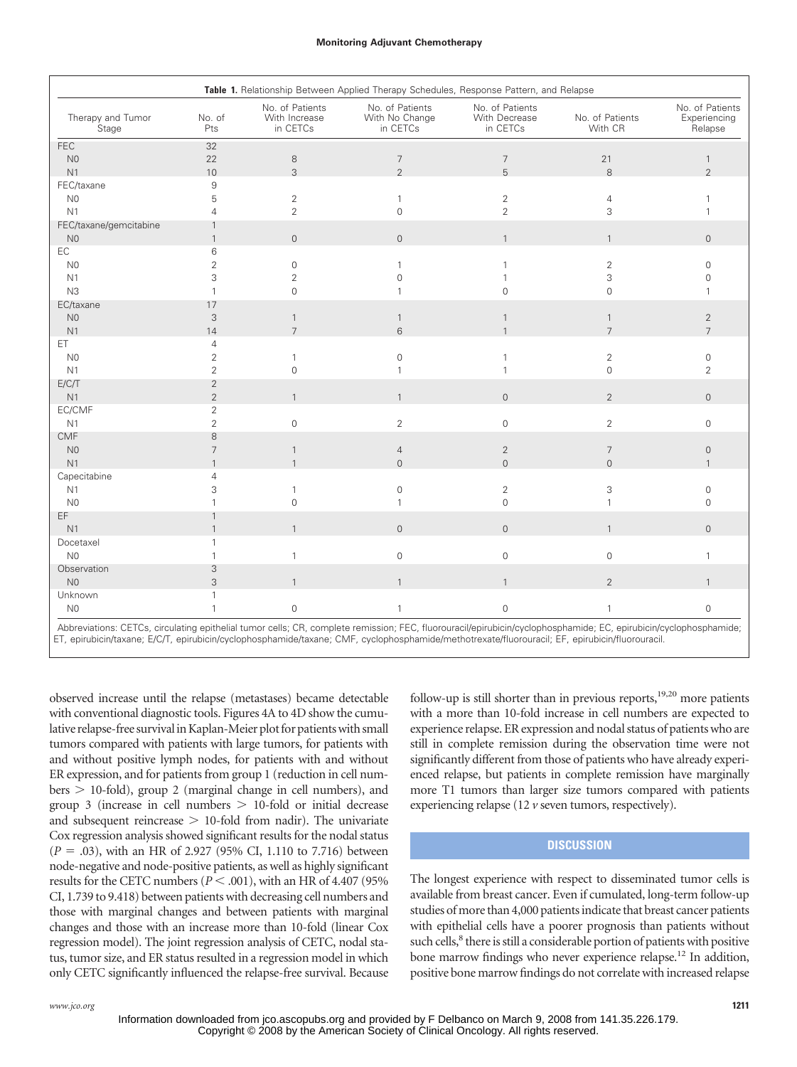#### **Monitoring Adjuvant Chemotherapy**

| Table 1. Relationship Between Applied Therapy Schedules, Response Pattern, and Relapse |                   |                                              |                                               |                                              |                            |                                            |
|----------------------------------------------------------------------------------------|-------------------|----------------------------------------------|-----------------------------------------------|----------------------------------------------|----------------------------|--------------------------------------------|
| Therapy and Tumor<br>Stage                                                             | No. of<br>Pts     | No. of Patients<br>With Increase<br>in CETCs | No. of Patients<br>With No Change<br>in CETCs | No. of Patients<br>With Decrease<br>in CETCs | No. of Patients<br>With CR | No. of Patients<br>Experiencing<br>Relapse |
| <b>FEC</b>                                                                             | 32                |                                              |                                               |                                              |                            |                                            |
| N <sub>0</sub>                                                                         | 22                | $\,8\,$                                      | $\overline{7}$                                | $\overline{7}$                               | 21                         | $\mathbf{1}$                               |
| N <sub>1</sub>                                                                         | 10                | 3                                            | $\overline{2}$                                | 5                                            | 8                          | $\overline{2}$                             |
| FEC/taxane                                                                             | $\overline{9}$    |                                              |                                               |                                              |                            |                                            |
| N <sub>0</sub>                                                                         | 5                 | $\overline{2}$                               | $\mathbf{1}$                                  | 2                                            | 4                          |                                            |
| N1                                                                                     | $\overline{4}$    | $\overline{2}$                               | $\mathbf 0$                                   | $\overline{2}$                               | 3                          |                                            |
| FEC/taxane/gemcitabine                                                                 | $\mathbf{1}$      |                                              |                                               |                                              |                            |                                            |
| N <sub>0</sub>                                                                         | $\mathbf{1}$      | $\mathbf 0$                                  | $\mathbf 0$                                   | $\mathbf{1}$                                 | $\mathbf{1}$               | $\mathsf{O}$                               |
| EC                                                                                     | 6                 |                                              |                                               |                                              |                            |                                            |
| N <sub>0</sub>                                                                         | $\overline{2}$    | $\mathsf{O}\xspace$                          | $\mathbf{1}$                                  |                                              | $\overline{2}$             | $\Omega$                                   |
| N1                                                                                     | 3                 | $\overline{c}$                               | $\mathbf{0}$                                  |                                              | 3                          | $\Omega$                                   |
| N3                                                                                     | 1                 | $\mathsf{O}\xspace$                          | 1                                             | $\mathbf{0}$                                 | $\mathsf{O}\xspace$        |                                            |
| EC/taxane                                                                              | 17                |                                              |                                               |                                              |                            |                                            |
| N <sub>0</sub>                                                                         | 3                 | $\mathbf{1}$                                 | $\mathbf{1}$                                  | $\mathbf{1}$                                 | $\mathbf{1}$               | $\overline{2}$                             |
| N1                                                                                     | 14                | $\overline{7}$                               | 6                                             |                                              | $\overline{7}$             | $\overline{7}$                             |
| ET.                                                                                    | 4                 |                                              |                                               |                                              |                            |                                            |
| N <sub>0</sub>                                                                         | $\overline{2}$    | $\mathbf{1}$                                 | $\mathbf 0$                                   |                                              | $\overline{2}$             | $\mathbf 0$                                |
| N1                                                                                     | $\overline{2}$    | $\mathbf 0$                                  | 1                                             |                                              | $\mathsf{O}\xspace$        | $\overline{2}$                             |
| E/C/T                                                                                  | $\overline{2}$    |                                              |                                               |                                              |                            |                                            |
| N1                                                                                     | $\overline{2}$    | $\mathbf{1}$                                 | $\mathbf{1}$                                  | $\mathbf{0}$                                 | $\overline{2}$             | $\mathsf{O}$                               |
| EC/CMF                                                                                 | $\overline{2}$    |                                              |                                               |                                              |                            |                                            |
| N1                                                                                     | $\overline{2}$    | $\mathsf{O}\xspace$                          | $\overline{2}$                                | $\mathbf 0$                                  | $\overline{2}$             | $\mathsf{O}\xspace$                        |
| <b>CMF</b>                                                                             | 8                 |                                              |                                               |                                              |                            |                                            |
| N <sub>0</sub>                                                                         | 7                 | $\mathbf{1}$                                 | $\overline{4}$                                | $\overline{2}$                               | $\overline{7}$             | $\mathsf{O}$                               |
| N1                                                                                     |                   | $\mathbf{1}$                                 | $\overline{0}$                                | $\Omega$                                     | $\overline{0}$             |                                            |
| Capecitabine                                                                           | $\overline{4}$    |                                              |                                               |                                              |                            |                                            |
| N <sub>1</sub>                                                                         | 3                 | $\mathbf{1}$                                 | $\mathbf 0$                                   | $\overline{2}$                               | 3                          | $\Omega$                                   |
| N <sub>0</sub><br>EF                                                                   |                   | $\overline{0}$                               | 1                                             | $\Omega$                                     | $\mathbf{1}$               | $\Omega$                                   |
|                                                                                        |                   |                                              |                                               |                                              |                            |                                            |
| N1                                                                                     | $\mathbf{1}$<br>1 | $\mathbf{1}$                                 | $\overline{0}$                                | $\mathbf{0}$                                 | $\mathbf{1}$               | $\mathsf{O}$                               |
| Docetaxel<br>N <sub>0</sub>                                                            |                   |                                              |                                               |                                              |                            |                                            |
|                                                                                        | 1                 | $\mathbf{1}$                                 | $\mathsf{O}$                                  | $\mathbf 0$                                  | $\mathsf{O}\xspace$        | 1                                          |
| Observation<br>N <sub>0</sub>                                                          | 3<br>3            | $\mathbf{1}$                                 | $\mathbf{1}$                                  | $\mathbf{1}$                                 | $\overline{2}$             |                                            |
| Unknown                                                                                | 1                 |                                              |                                               |                                              |                            |                                            |
| N <sub>0</sub>                                                                         | 1                 | $\mathsf{O}\xspace$                          | $\mathbf{1}$                                  | $\mathbf 0$                                  | $\mathbf{1}$               | $\mathbf{0}$                               |
|                                                                                        |                   |                                              |                                               |                                              |                            |                                            |

Abbreviations: CETCs, circulating epithelial tumor cells; CR, complete remission; FEC, fluorouracil/epirubicin/cyclophosphamide; EC, epirubicin/cyclophosphamide; ET, epirubicin/taxane; E/C/T, epirubicin/cyclophosphamide/taxane; CMF, cyclophosphamide/methotrexate/fluorouracil; EF, epirubicin/fluorouracil.

observed increase until the relapse (metastases) became detectable with conventional diagnostic tools. Figures 4A to 4D show the cumulative relapse-free survival in Kaplan-Meier plot for patients with small tumors compared with patients with large tumors, for patients with and without positive lymph nodes, for patients with and without ER expression, and for patients from group 1 (reduction in cell num $bers > 10-fold$ , group 2 (marginal change in cell numbers), and group 3 (increase in cell numbers  $> 10$ -fold or initial decrease and subsequent reincrease  $> 10$ -fold from nadir). The univariate Cox regression analysis showed significant results for the nodal status  $(P = .03)$ , with an HR of 2.927 (95% CI, 1.110 to 7.716) between node-negative and node-positive patients, as well as highly significant results for the CETC numbers  $(P < .001)$ , with an HR of 4.407 (95%) CI, 1.739 to 9.418) between patients with decreasing cell numbers and those with marginal changes and between patients with marginal changes and those with an increase more than 10-fold (linear Cox regression model). The joint regression analysis of CETC, nodal status, tumor size, and ER status resulted in a regression model in which only CETC significantly influenced the relapse-free survival. Because follow-up is still shorter than in previous reports, $19,20$  more patients with a more than 10-fold increase in cell numbers are expected to experience relapse. ER expression and nodal status of patients who are still in complete remission during the observation time were not significantly different from those of patients who have already experienced relapse, but patients in complete remission have marginally more T1 tumors than larger size tumors compared with patients experiencing relapse (12 *v* seven tumors, respectively).

## **DISCUSSION**

The longest experience with respect to disseminated tumor cells is available from breast cancer. Even if cumulated, long-term follow-up studies of more than 4,000 patients indicate that breast cancer patients with epithelial cells have a poorer prognosis than patients without such cells,<sup>8</sup> there is still a considerable portion of patients with positive bone marrow findings who never experience relapse.<sup>12</sup> In addition, positive bone marrow findings do not correlate with increased relapse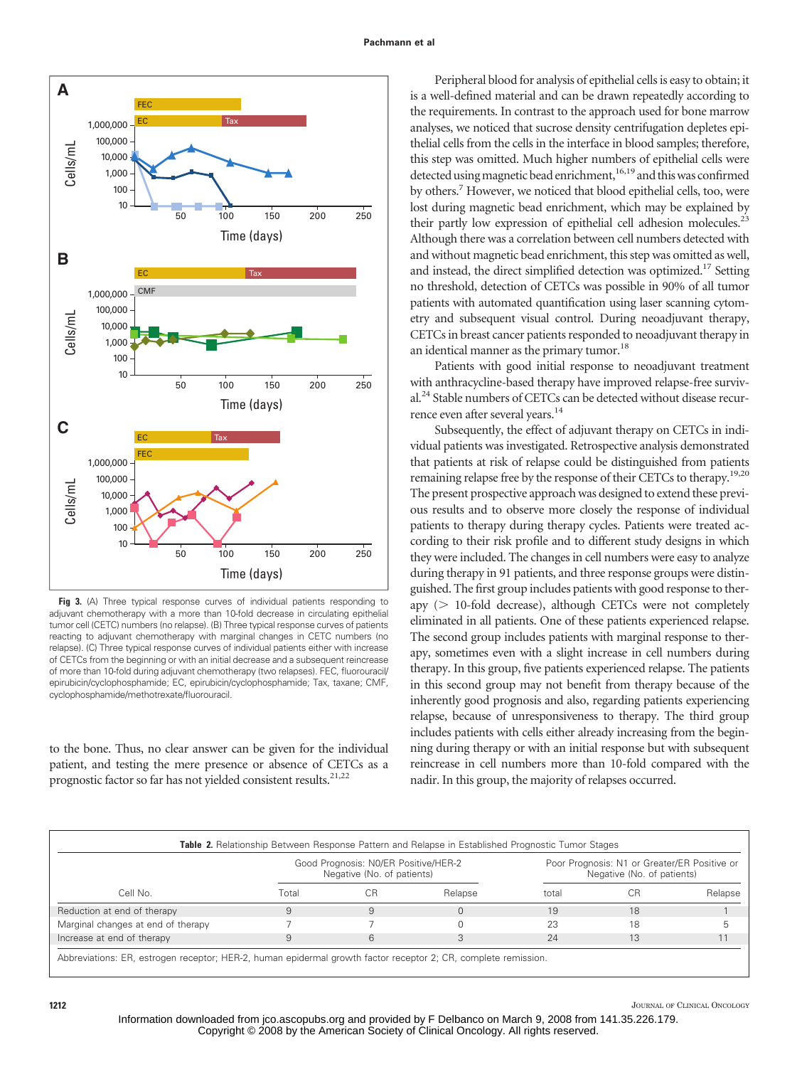

**Fig 3.** (A) Three typical response curves of individual patients responding to adjuvant chemotherapy with a more than 10-fold decrease in circulating epithelial tumor cell (CETC) numbers (no relapse). (B) Three typical response curves of patients reacting to adjuvant chemotherapy with marginal changes in CETC numbers (no relapse). (C) Three typical response curves of individual patients either with increase of CETCs from the beginning or with an initial decrease and a subsequent reincrease of more than 10-fold during adjuvant chemotherapy (two relapses). FEC, fluorouracil/ epirubicin/cyclophosphamide; EC, epirubicin/cyclophosphamide; Tax, taxane; CMF, cyclophosphamide/methotrexate/fluorouracil.

to the bone. Thus, no clear answer can be given for the individual patient, and testing the mere presence or absence of CETCs as a prognostic factor so far has not yielded consistent results.<sup>21,22</sup>

Peripheral blood for analysis of epithelial cells is easy to obtain; it is a well-defined material and can be drawn repeatedly according to the requirements. In contrast to the approach used for bone marrow analyses, we noticed that sucrose density centrifugation depletes epithelial cells from the cells in the interface in blood samples; therefore, this step was omitted. Much higher numbers of epithelial cells were detected using magnetic bead enrichment,<sup>16,19</sup> and this was confirmed by others.7 However, we noticed that blood epithelial cells, too, were lost during magnetic bead enrichment, which may be explained by their partly low expression of epithelial cell adhesion molecules.<sup>23</sup> Although there was a correlation between cell numbers detected with and without magnetic bead enrichment, this step was omitted as well, and instead, the direct simplified detection was optimized.<sup>17</sup> Setting no threshold, detection of CETCs was possible in 90% of all tumor patients with automated quantification using laser scanning cytometry and subsequent visual control. During neoadjuvant therapy, CETCs in breast cancer patients responded to neoadjuvant therapy in an identical manner as the primary tumor.<sup>18</sup>

Patients with good initial response to neoadjuvant treatment with anthracycline-based therapy have improved relapse-free survival.<sup>24</sup> Stable numbers of CETCs can be detected without disease recurrence even after several years.<sup>14</sup>

Subsequently, the effect of adjuvant therapy on CETCs in individual patients was investigated. Retrospective analysis demonstrated that patients at risk of relapse could be distinguished from patients remaining relapse free by the response of their CETCs to therapy.<sup>19,20</sup> The present prospective approach was designed to extend these previous results and to observe more closely the response of individual patients to therapy during therapy cycles. Patients were treated according to their risk profile and to different study designs in which they were included. The changes in cell numbers were easy to analyze during therapy in 91 patients, and three response groups were distinguished. The first group includes patients with good response to therapy  $($  10-fold decrease), although CETCs were not completely eliminated in all patients. One of these patients experienced relapse. The second group includes patients with marginal response to therapy, sometimes even with a slight increase in cell numbers during therapy. In this group, five patients experienced relapse. The patients in this second group may not benefit from therapy because of the inherently good prognosis and also, regarding patients experiencing relapse, because of unresponsiveness to therapy. The third group includes patients with cells either already increasing from the beginning during therapy or with an initial response but with subsequent reincrease in cell numbers more than 10-fold compared with the nadir. In this group, the majority of relapses occurred.

|                                    |       | Good Prognosis: N0/ER Positive/HER-2<br>Negative (No. of patients) |         | Poor Prognosis: N1 or Greater/ER Positive or<br>Negative (No. of patients) |    |         |
|------------------------------------|-------|--------------------------------------------------------------------|---------|----------------------------------------------------------------------------|----|---------|
| Cell No.                           | Гоtal | C.R                                                                | Relapse | total                                                                      | CH | Relapse |
| Reduction at end of therapy        |       |                                                                    |         | 19                                                                         | 18 |         |
| Marginal changes at end of therapy |       |                                                                    |         | 23                                                                         | 18 |         |
| Increase at end of therapy         |       | 6                                                                  |         | 24                                                                         | 13 |         |

breviations: ER, estrogen receptor; HER-2, human epidermal growth factor receptor 2; CR, complete remission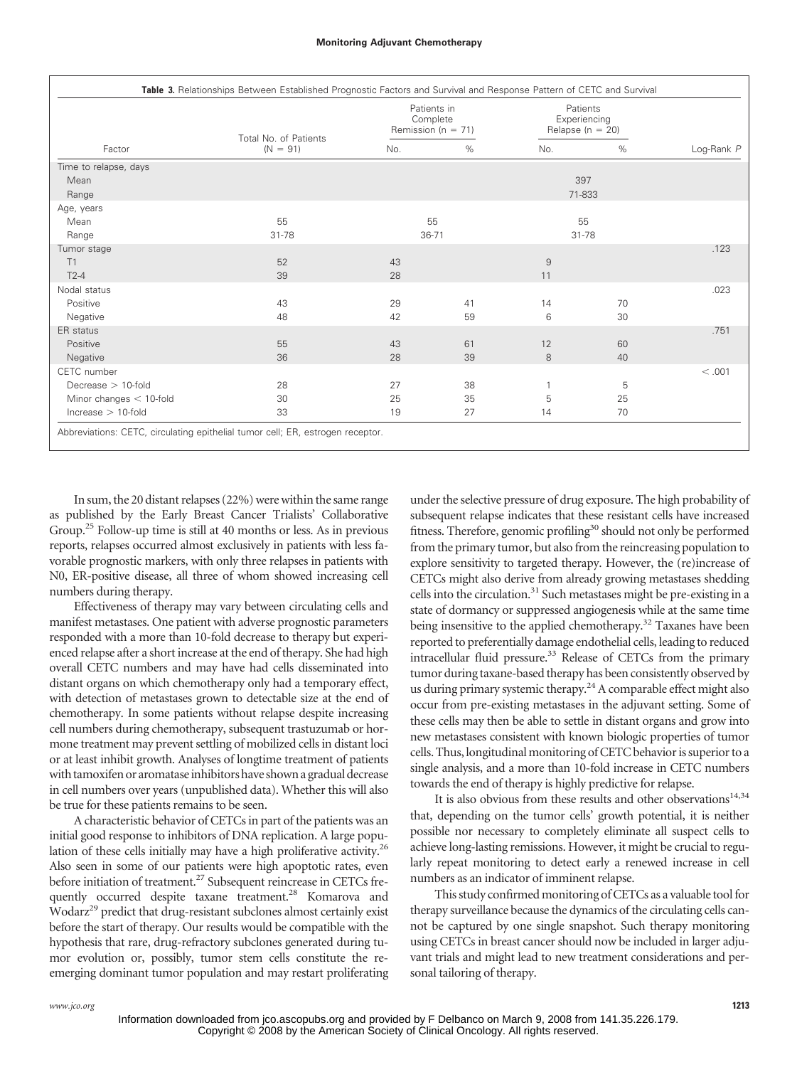| Factor                    | Total No. of Patients<br>$(N = 91)$ | Patients in<br>Complete<br>Remission ( $n = 71$ ) |      | Patients<br>Experiencing<br>Relapse ( $n = 20$ ) |    |            |
|---------------------------|-------------------------------------|---------------------------------------------------|------|--------------------------------------------------|----|------------|
|                           |                                     | No.                                               | $\%$ | No.                                              | %  | Log-Rank P |
| Time to relapse, days     |                                     |                                                   |      |                                                  |    |            |
| Mean                      |                                     |                                                   |      | 397                                              |    |            |
| Range                     |                                     |                                                   |      | 71-833                                           |    |            |
| Age, years                |                                     |                                                   |      |                                                  |    |            |
| Mean                      | 55                                  | 55                                                |      | 55                                               |    |            |
| Range                     | $31 - 78$                           | $36 - 71$                                         |      | $31 - 78$                                        |    |            |
| Tumor stage               |                                     |                                                   |      |                                                  |    | .123       |
| T1                        | 52                                  | 43                                                |      | 9                                                |    |            |
| $T2-4$                    | 39                                  | 28                                                |      | 11                                               |    |            |
| Nodal status              |                                     |                                                   |      |                                                  |    | .023       |
| Positive                  | 43                                  | 29                                                | 41   | 14                                               | 70 |            |
| Negative                  | 48                                  | 42                                                | 59   | 6                                                | 30 |            |
| ER status                 |                                     |                                                   |      |                                                  |    | .751       |
| Positive                  | 55                                  | 43                                                | 61   | 12                                               | 60 |            |
| Negative                  | 36                                  | 28                                                | 39   | 8                                                | 40 |            |
| CETC number               |                                     |                                                   |      |                                                  |    | < .001     |
| Decrease $> 10$ -fold     | 28                                  | 27                                                | 38   | 1                                                | 5  |            |
| Minor changes $<$ 10-fold | 30                                  | 25                                                | 35   | 5                                                | 25 |            |
| $increase > 10$ -fold     | 33                                  | 19                                                | 27   | 14                                               | 70 |            |

In sum, the 20 distant relapses (22%) were within the same range as published by the Early Breast Cancer Trialists' Collaborative Group.<sup>25</sup> Follow-up time is still at 40 months or less. As in previous reports, relapses occurred almost exclusively in patients with less favorable prognostic markers, with only three relapses in patients with N0, ER-positive disease, all three of whom showed increasing cell numbers during therapy.

Effectiveness of therapy may vary between circulating cells and manifest metastases. One patient with adverse prognostic parameters responded with a more than 10-fold decrease to therapy but experienced relapse after a short increase at the end of therapy. She had high overall CETC numbers and may have had cells disseminated into distant organs on which chemotherapy only had a temporary effect, with detection of metastases grown to detectable size at the end of chemotherapy. In some patients without relapse despite increasing cell numbers during chemotherapy, subsequent trastuzumab or hormone treatment may prevent settling of mobilized cells in distant loci or at least inhibit growth. Analyses of longtime treatment of patients with tamoxifen or aromatase inhibitors have shown a gradual decrease in cell numbers over years (unpublished data). Whether this will also be true for these patients remains to be seen.

A characteristic behavior of CETCs in part of the patients was an initial good response to inhibitors of DNA replication. A large population of these cells initially may have a high proliferative activity.26 Also seen in some of our patients were high apoptotic rates, even before initiation of treatment.<sup>27</sup> Subsequent reincrease in CETCs frequently occurred despite taxane treatment.<sup>28</sup> Komarova and Wodarz<sup>29</sup> predict that drug-resistant subclones almost certainly exist before the start of therapy. Our results would be compatible with the hypothesis that rare, drug-refractory subclones generated during tumor evolution or, possibly, tumor stem cells constitute the reemerging dominant tumor population and may restart proliferating under the selective pressure of drug exposure. The high probability of subsequent relapse indicates that these resistant cells have increased fitness. Therefore, genomic profiling<sup>30</sup> should not only be performed from the primary tumor, but also from the reincreasing population to explore sensitivity to targeted therapy. However, the (re)increase of CETCs might also derive from already growing metastases shedding cells into the circulation. $31$  Such metastases might be pre-existing in a state of dormancy or suppressed angiogenesis while at the same time being insensitive to the applied chemotherapy.<sup>32</sup> Taxanes have been reported to preferentially damage endothelial cells, leading to reduced intracellular fluid pressure.33 Release of CETCs from the primary tumor during taxane-based therapy has been consistently observed by us during primary systemic therapy.<sup>24</sup> A comparable effect might also occur from pre-existing metastases in the adjuvant setting. Some of these cells may then be able to settle in distant organs and grow into new metastases consistent with known biologic properties of tumor cells. Thus, longitudinal monitoring of CETC behavior is superior to a single analysis, and a more than 10-fold increase in CETC numbers towards the end of therapy is highly predictive for relapse.

It is also obvious from these results and other observations $14,34$ that, depending on the tumor cells' growth potential, it is neither possible nor necessary to completely eliminate all suspect cells to achieve long-lasting remissions. However, it might be crucial to regularly repeat monitoring to detect early a renewed increase in cell numbers as an indicator of imminent relapse.

This study confirmed monitoring of CETCs as a valuable tool for therapy surveillance because the dynamics of the circulating cells cannot be captured by one single snapshot. Such therapy monitoring using CETCs in breast cancer should now be included in larger adjuvant trials and might lead to new treatment considerations and personal tailoring of therapy.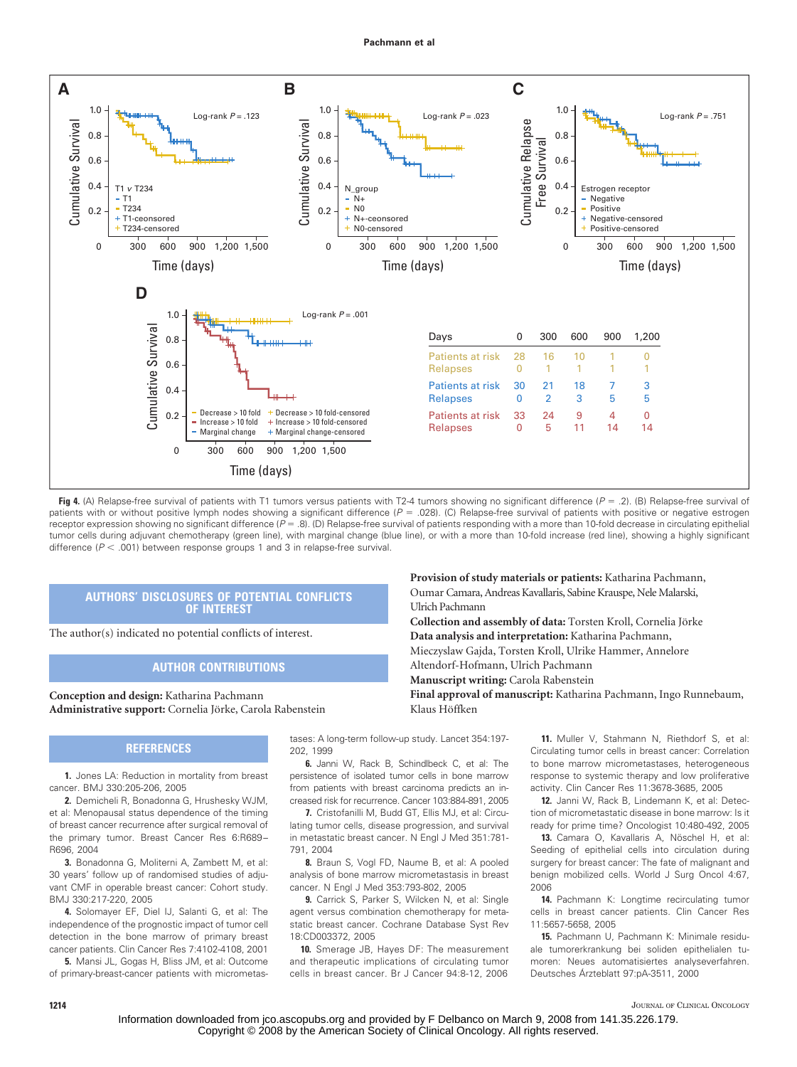

Fig 4. (A) Relapse-free survival of patients with T1 tumors versus patients with T2-4 tumors showing no significant difference ( $P = .2$ ). (B) Relapse-free survival of patients with or without positive lymph nodes showing a significant difference ( $P = .028$ ). (C) Relapse-free survival of patients with positive or negative estrogen receptor expression showing no significant difference ( $P = .8$ ). (D) Relapse-free survival of patients responding with a more than 10-fold decrease in circulating epithelial tumor cells during adjuvant chemotherapy (green line), with marginal change (blue line), or with a more than 10-fold increase (red line), showing a highly significant difference ( $P < .001$ ) between response groups 1 and 3 in relapse-free survival.

Ulrich Pachmann

Klaus Höffken

## **AUTHORS' DISCLOSURES OF POTENTIAL CONFLICTS OF INTEREST**

The author(s) indicated no potential conflicts of interest.

## **AUTHOR CONTRIBUTIONS**

**Conception and design:** Katharina Pachmann Administrative support: Cornelia Jörke, Carola Rabenstein

## **REFERENCES**

**1.** Jones LA: Reduction in mortality from breast cancer. BMJ 330:205-206, 2005

**2.** Demicheli R, Bonadonna G, Hrushesky WJM, et al: Menopausal status dependence of the timing of breast cancer recurrence after surgical removal of the primary tumor. Breast Cancer Res 6:R689– R696, 2004

**3.** Bonadonna G, Moliterni A, Zambett M, et al: 30 years' follow up of randomised studies of adjuvant CMF in operable breast cancer: Cohort study. BMJ 330:217-220, 2005

**4.** Solomayer EF, Diel IJ, Salanti G, et al: The independence of the prognostic impact of tumor cell detection in the bone marrow of primary breast cancer patients. Clin Cancer Res 7:4102-4108, 2001

**5.** Mansi JL, Gogas H, Bliss JM, et al: Outcome of primary-breast-cancer patients with micrometas-

tases: A long-term follow-up study. Lancet 354:197- 202, 1999

**6.** Janni W, Rack B, Schindlbeck C, et al: The persistence of isolated tumor cells in bone marrow from patients with breast carcinoma predicts an increased risk for recurrence. Cancer 103:884-891, 2005

**7.** Cristofanilli M, Budd GT, Ellis MJ, et al: Circulating tumor cells, disease progression, and survival in metastatic breast cancer. N Engl J Med 351:781- 791, 2004

**8.** Braun S, Vogl FD, Naume B, et al: A pooled analysis of bone marrow micrometastasis in breast cancer. N Engl J Med 353:793-802, 2005

**9.** Carrick S, Parker S, Wilcken N, et al: Single agent versus combination chemotherapy for metastatic breast cancer. Cochrane Database Syst Rev 18:CD003372, 2005

**10.** Smerage JB, Hayes DF: The measurement and therapeutic implications of circulating tumor cells in breast cancer. Br J Cancer 94:8-12, 2006

**11.** Muller V, Stahmann N, Riethdorf S, et al: Circulating tumor cells in breast cancer: Correlation to bone marrow micrometastases, heterogeneous response to systemic therapy and low proliferative activity. Clin Cancer Res 11:3678-3685, 2005

**Provision of study materials or patients:** Katharina Pachmann, Oumar Camara, Andreas Kavallaris, Sabine Krauspe, Nele Malarski,

Collection and assembly of data: Torsten Kroll, Cornelia Jörke **Data analysis and interpretation:** Katharina Pachmann, Mieczyslaw Gajda, Torsten Kroll, Ulrike Hammer, Annelore

**Final approval of manuscript:** Katharina Pachmann, Ingo Runnebaum,

Altendorf-Hofmann, Ulrich Pachmann **Manuscript writing:** Carola Rabenstein

> **12.** Janni W, Rack B, Lindemann K, et al: Detection of micrometastatic disease in bone marrow: Is it ready for prime time? Oncologist 10:480-492, 2005

> 13. Camara O, Kavallaris A, Nöschel H, et al: Seeding of epithelial cells into circulation during surgery for breast cancer: The fate of malignant and benign mobilized cells. World J Surg Oncol 4:67, 2006

> **14.** Pachmann K: Longtime recirculating tumor cells in breast cancer patients. Clin Cancer Res 11:5657-5658, 2005

> **15.** Pachmann U, Pachmann K: Minimale residuale tumorerkrankung bei soliden epithelialen tumoren: Neues automatisiertes analyseverfahren. Deutsches Árzteblatt 97:pA-3511, 2000